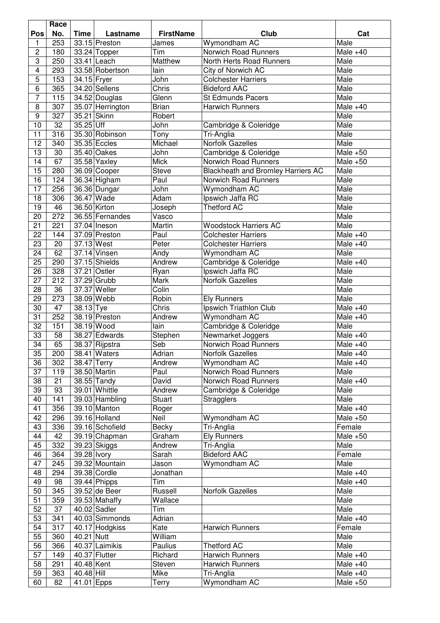|                         | Race |             |                            |                  |                                           |            |
|-------------------------|------|-------------|----------------------------|------------------|-------------------------------------------|------------|
| Pos                     | No.  | <b>Time</b> | Lastname                   | <b>FirstName</b> | Club                                      | Cat        |
| 1                       | 253  |             | 33.15 Preston              | James            | Wymondham AC                              | Male       |
| $\overline{c}$          | 180  |             | 33.24 Topper               | Tim              | Norwich Road Runners                      | Male $+40$ |
| 3                       | 250  |             | 33.41 Leach                | Matthew          | North Herts Road Runners                  | Male       |
| $\overline{\mathbf{4}}$ | 293  |             | 33.58 Robertson            | lain             | City of Norwich AC                        | Male       |
| $\overline{5}$          | 153  | 34.15 Fryer |                            | John             | <b>Colchester Harriers</b>                | Male       |
| $\overline{6}$          | 365  |             | 34.20 Sellens              | <b>Chris</b>     | <b>Bideford AAC</b>                       | Male       |
| 7                       | 115  |             | 34.52 Douglas              | Glenn            | <b>St Edmunds Pacers</b>                  | Male       |
| 8                       | 307  |             | 35.07 Herrington           | <b>Brian</b>     | <b>Harwich Runners</b>                    | Male $+40$ |
| $\boldsymbol{9}$        | 327  |             | 35.21 Skinn                | Robert           |                                           | Male       |
| 10                      | 32   | $35.25$ Uff |                            | John             | Cambridge & Coleridge                     | Male       |
| 11                      | 316  |             | 35.30 Robinson             | Tony             | Tri-Anglia                                | Male       |
| $\overline{12}$         | 340  |             | 35.35 Eccles               | Michael          | <b>Norfolk Gazelles</b>                   | Male       |
| 13                      | 30   |             | 35.40 Oakes                | John             | Cambridge & Coleridge                     | Male $+50$ |
| 14                      | 67   |             | $35.58$ Yaxley             | <b>Mick</b>      | Norwich Road Runners                      | Male $+50$ |
| 15                      | 280  |             | 36.09 Cooper               | <b>Steve</b>     | <b>Blackheath and Bromley Harriers AC</b> | Male       |
| 16                      | 124  |             | 36.34 Higham               | Paul             | Norwich Road Runners                      | Male       |
| 17                      | 256  |             | 36.36 Dungar               | John             | Wymondham AC                              | Male       |
| 18                      | 306  |             | 36.47 Wade                 | Adam             | Ipswich Jaffa RC                          | Male       |
| 19                      | 46   |             | 36.50 Kirton               | Joseph           | <b>Thetford AC</b>                        | Male       |
| 20                      | 272  |             | 36.55 Fernandes            | Vasco            |                                           | Male       |
| 21                      | 221  |             | 37.04 Ineson               | Martin           | <b>Woodstock Harriers AC</b>              | Male       |
| 22                      | 144  |             | 37.09 Preston              | Paul             | <b>Colchester Harriers</b>                | Male $+40$ |
| 23                      | 20   | 37.13 West  |                            | Peter            | <b>Colchester Harriers</b>                | Male $+40$ |
| 24                      | 62   |             | 37.14 Vinsen               | Andy             | Wymondham AC                              | Male       |
| 25                      | 290  |             | 37.15 Shields              | Andrew           | Cambridge & Coleridge                     | Male $+40$ |
| 26                      | 328  | 37.21       | Ostler                     |                  | Ipswich Jaffa RC                          | Male       |
| 27                      | 212  |             | 37.29 Grubb                | Ryan<br>Mark     | Norfolk Gazelles                          | Male       |
|                         |      |             |                            |                  |                                           |            |
| 28                      | 36   |             | 37.37 Weller<br>38.09 Webb | Colin            |                                           | Male       |
| 29                      | 273  |             |                            | Robin            | <b>Ely Runners</b>                        | Male       |
| 30                      | 47   | 38.13 Tye   |                            | Chris            | Ipswich Triathlon Club                    | Male $+40$ |
| 31                      | 252  |             | 38.19 Preston              | Andrew           | Wymondham AC                              | Male $+40$ |
| 32                      | 151  |             | 38.19 Wood                 | lain             | Cambridge & Coleridge                     | Male       |
| 33                      | 58   |             | 38.27 Edwards              | Stephen          | Newmarket Joggers                         | Male $+40$ |
| 34                      | 65   |             | 38.37 Rijpstra             | Seb              | Norwich Road Runners                      | Male $+40$ |
| $\overline{35}$         | 200  |             | 38.41 Waters               | Adrian           | Norfolk Gazelles                          | Male $+40$ |
| 36                      | 302  |             | 38.47 Terry                | Andrew           | Wymondham AC                              | Male $+40$ |
| 37                      | 119  |             | 38.50 Martin               | Paul             | Norwich Road Runners                      | Male       |
| 38                      | 21   |             | 38.55 Tandy                | David            | Norwich Road Runners                      | Male $+40$ |
| 39                      | 93   |             | 39.01 Whittle              | Andrew           | Cambridge & Coleridge                     | Male       |
| 40                      | 141  |             | 39.03 Hambling             | <b>Stuart</b>    | <b>Stragglers</b>                         | Male       |
| 41                      | 356  |             | 39.10 Manton               | Roger            |                                           | Male $+40$ |
| 42                      | 296  |             | 39.16 Holland              | Neil             | Wymondham AC                              | Male $+50$ |
| 43                      | 336  |             | 39.16 Schofield            | Becky            | Tri-Anglia                                | Female     |
| 44                      | 42   |             | 39.19 Chapman              | Graham           | <b>Ely Runners</b>                        | Male $+50$ |
| 45                      | 332  |             | 39.23 Skiggs               | Andrew           | Tri-Anglia                                | Male       |
| 46                      | 364  | 39.28 lvory |                            | Sarah            | <b>Bideford AAC</b>                       | Female     |
| 47                      | 245  |             | 39.32 Mountain             | Jason            | Wymondham AC                              | Male       |
| 48                      | 294  |             | 39.38 Cordle               | Jonathan         |                                           | Male $+40$ |
| 49                      | 98   |             | $39.44$ Phipps             | Tim              |                                           | Male $+40$ |
| 50                      | 345  |             | 39.52 de Beer              | Russell          | Norfolk Gazelles                          | Male       |
| 51                      | 359  |             | 39.53 Mahaffy              | Wallace          |                                           | Male       |
| 52                      | 37   |             | 40.02 Sadler               | Tim              |                                           | Male       |
| 53                      | 341  |             | 40.03 Simmonds             | Adrian           |                                           | Male $+40$ |
| 54                      | 317  |             | 40.17 Hodgkiss             | Kate             | <b>Harwich Runners</b>                    | Female     |
| 55                      | 360  | 40.21 Nutt  |                            | William          |                                           | Male       |
| 56                      | 366  |             | 40.37 Laimikis             | Paulius          | <b>Thetford AC</b>                        | Male       |
| 57                      | 149  |             | 40.37 Flutter              | Richard          | <b>Harwich Runners</b>                    | Male $+40$ |
| 58                      | 291  | 40.48 Kent  |                            | <b>Steven</b>    | <b>Harwich Runners</b>                    | Male $+40$ |
| 59                      | 363  | 40.48 Hill  |                            | Mike             | Tri-Anglia                                | Male $+40$ |
| 60                      | 82   | 41.01 Epps  |                            | Terry            | Wymondham AC                              | Male $+50$ |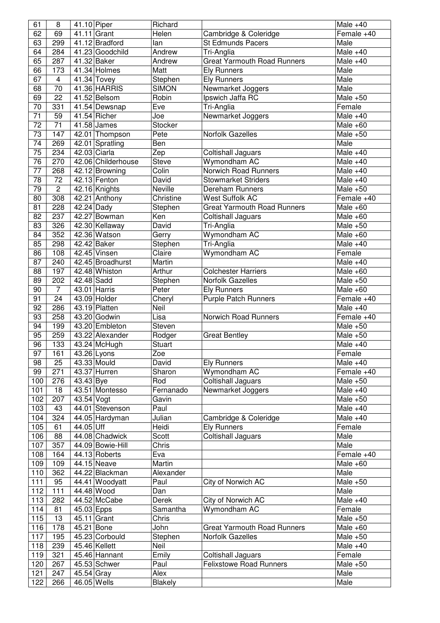| 61              | 8              | 41.10 Piper |                                | Richard                |                                    | Male $+40$                     |
|-----------------|----------------|-------------|--------------------------------|------------------------|------------------------------------|--------------------------------|
| 62              | 69             |             | 41.11 Grant                    | Helen                  | Cambridge & Coleridge              | Female +40                     |
| 63              | 299            |             | 41.12 Bradford                 | lan                    | <b>St Edmunds Pacers</b>           | Male                           |
| 64              | 284            |             | 41.23 Goodchild                | Andrew                 | Tri-Anglia                         | Male $+40$                     |
| 65              | 287            |             | 41.32 Baker                    | Andrew                 | <b>Great Yarmouth Road Runners</b> | Male $+40$                     |
| 66              | 173            |             | 41.34 Holmes                   | Matt                   | <b>Ely Runners</b>                 | Male                           |
| 67              | $\overline{4}$ |             | $41.34$ Tovey                  | Stephen                | <b>Ely Runners</b>                 | Male                           |
| 68              | 70             |             | 41.36 HARRIS                   | <b>SIMON</b>           | Newmarket Joggers                  | Male                           |
| 69              | 22             |             | 41.52 Belsom                   | Robin                  | Ipswich Jaffa RC                   | Male $+50$                     |
| 70              | 331            |             | 41.54 Dewsnap                  | Eve                    | Tri-Anglia                         | Female                         |
| $\overline{71}$ | 59             |             | 41.54 Richer                   | Joe                    | Newmarket Joggers                  | Male $+40$                     |
| 72              | 71             |             | $41.58$ James                  | Stocker                |                                    | Male $+60$                     |
| 73              | 147            |             | 42.01 Thompson                 | Pete                   | Norfolk Gazelles                   | Male $+50$                     |
| 74              | 269            |             | 42.01 Spratling                | Ben                    |                                    | Male                           |
| 75              | 234            |             | 42.03 Ciarla                   | Zep                    | Coltishall Jaguars                 | Male $+40$                     |
| 76              | 270            |             | 42.06 Childerhouse             | <b>Steve</b>           | Wymondham AC                       | Male $+40$                     |
| 77              | 268            |             | 42.12 Browning                 | Colin                  | <b>Norwich Road Runners</b>        | Male $+40$                     |
| 78              | 72             |             | 42.13 Fenton                   | David                  | <b>Stowmarket Striders</b>         | Male $+40$                     |
| 79              | $\overline{c}$ |             | 42.16 Knights                  | Neville                | Dereham Runners                    | Male $+50$                     |
| 80              | 308            |             | 42.21 Anthony                  | Christine              | <b>West Suffolk AC</b>             | Female +40                     |
| 81              | 228            | 42.24 Dady  |                                | Stephen                | <b>Great Yarmouth Road Runners</b> | Male $+60$                     |
| 82              | 237            |             | 42.27 Bowman                   | Ken                    |                                    | Male $+60$                     |
| 83              | 326            |             |                                | David                  | Coltishall Jaguars<br>Tri-Anglia   | Male $+50$                     |
|                 |                |             | 42.30 Kellaway<br>42.36 Watson |                        |                                    |                                |
| 84              | 352            |             |                                | Gerry                  | Wymondham AC                       | Male $+60$                     |
| 85              | 298            |             | 42.42 Baker                    | Stephen                | Tri-Anglia                         | Male $+40$                     |
| 86              | 108            |             | $42.45$ Vinsen                 | Claire                 | Wymondham AC                       | Female                         |
| 87              | 240            |             | 42.45 Broadhurst               | Martin                 |                                    | Male $+40$                     |
| 88              | 197            |             | 42.48 Whiston                  | Arthur                 | <b>Colchester Harriers</b>         | Male $+60$                     |
| 89              | 202            | 42.48 Sadd  |                                | Stephen                | Norfolk Gazelles                   | Male $+50$                     |
| 90              | 7              |             | 43.01 Harris                   | Peter                  | <b>Ely Runners</b>                 | Male $+60$                     |
| 91              | 24             |             | 43.09 Holder                   | Cheryl                 | <b>Purple Patch Runners</b>        | Female +40                     |
| 92              | 286            |             | 43.19 Platten                  | Neil                   |                                    | Male $+40$                     |
| 93              | 258            |             | 43.20 Godwin                   | Lisa                   | Norwich Road Runners               | Female +40                     |
| 94              | 199            |             | 43.20 Embleton                 | Steven                 |                                    | Male $+50$                     |
| 95              | 259            |             | 43.22 Alexander                | Rodger                 | <b>Great Bentley</b>               | Male $+50$                     |
| 96              | 133            |             | 43.24 McHugh                   | <b>Stuart</b>          |                                    | Male $+40$                     |
| 97              | 161            |             | 43.26 Lyons                    | Zoe                    |                                    | Female                         |
| 98              | 25             |             | 43.33 Mould                    | David                  | <b>Ely Runners</b>                 | Male $+40$                     |
| 99              | 271            |             | 43.37 Hurren                   | Sharon                 | Wymondham AC                       | Female +40                     |
| 100             | 276            | 43.43 Bye   |                                | Rod                    | <b>Coltishall Jaguars</b>          | Male $+50$                     |
| 101             | 18             |             | 43.51 Montesso                 | Fernanado              | Newmarket Joggers                  | Male $+40$                     |
| 102             | 207            | 43.54 Vogt  |                                | Gavin                  |                                    | Male $+50$                     |
| 103             | 43             |             | 44.01 Stevenson                | Paul                   |                                    | $\overline{\mathsf{Male}}$ +40 |
| 104             | 324            |             | 44.05 Hardyman                 | Julian                 | Cambridge & Coleridge              | Male $+40$                     |
| 105             | 61             | 44.05 Uff   |                                | Heidi                  | <b>Ely Runners</b>                 | Female                         |
| 106             | 88             |             | 44.08 Chadwick                 | Scott                  | <b>Coltishall Jaguars</b>          | Male                           |
| 107             | 357            |             | 44.09 Bowie-Hill               | Chris                  |                                    | Male                           |
| 108             | 164            |             | $\overline{44.13}$ Roberts     | Eva                    |                                    | Female +40                     |
| 109             | 109            |             | 44.15 Neave                    | Martin                 |                                    | Male $+60$                     |
| 110             | 362            |             | 44.22 Blackman                 | Alexander              |                                    | Male                           |
| 111             | 95             |             | 44.41 Woodyatt                 | Paul                   | City of Norwich AC                 | Male $+50$                     |
| 112             | 111            |             | 44.48 Wood                     | Dan                    |                                    | Male                           |
| 113             | 282            |             | 44.52 McCabe                   | Derek                  | City of Norwich AC                 | Male $+40$                     |
| 114             | 81             | 45.03 Epps  |                                | Samantha               | Wymondham AC                       | Female                         |
| 115             | 13             |             | 45.11 Grant                    | Chris                  |                                    | Male $+50$                     |
| 116             | 178            | 45.21 Bone  |                                | John                   | <b>Great Yarmouth Road Runners</b> | Male $+60$                     |
|                 |                |             |                                |                        |                                    |                                |
| 117             | 195            |             | 45.23 Corbould                 | Stephen                | Norfolk Gazelles                   | Male $+50$                     |
| 118<br>119      | 239            |             | 45.46 Kellett<br>45.46 Hannant | Neil<br>Emily          |                                    | Male $+40$                     |
|                 |                |             |                                |                        | <b>Coltishall Jaguars</b>          | Female                         |
|                 | 321            |             |                                |                        |                                    |                                |
| 120             | 267            |             | 45.53 Schwer                   | Paul                   | <b>Felixstowe Road Runners</b>     | Male $+50$                     |
| 121<br>122      | 247<br>266     | 45.54 Gray  | 46.05 Wells                    | Alex<br><b>Blakely</b> |                                    | Male<br>Male                   |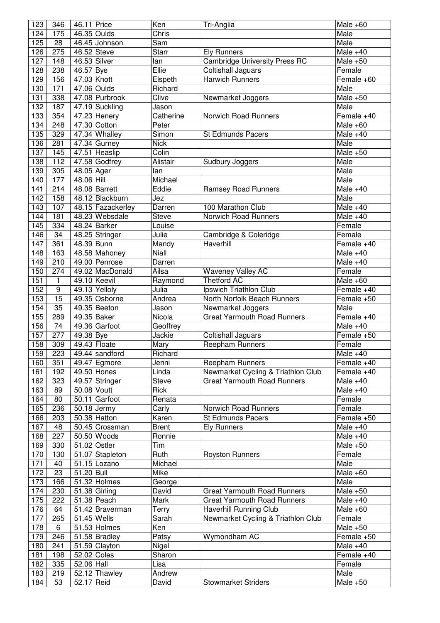| 123 | 346              | 46.11 Price |                   | Ken          | Tri-Anglia                           | Male $+60$                    |
|-----|------------------|-------------|-------------------|--------------|--------------------------------------|-------------------------------|
| 124 | 175              |             | 46.35 Oulds       | Chris        |                                      | Male                          |
| 125 | 28               |             | 46.45 Johnson     | Sam          |                                      | Male                          |
| 126 | 275              |             | 46.52 Steve       | <b>Starr</b> | <b>Ely Runners</b>                   | Male $+40$                    |
| 127 | 148              |             | 46.53 Silver      | lan          | <b>Cambridge University Press RC</b> | Male $+50$                    |
| 128 | 238              | 46.57 Bye   |                   | Ellie        | <b>Coltishall Jaguars</b>            | Female                        |
| 129 | 156              |             | 47.03 Knott       | Elspeth      | <b>Harwich Runners</b>               | Female +60                    |
| 130 | $\overline{171}$ |             | 47.06 Oulds       | Richard      |                                      | Male                          |
| 131 | 338              |             | 47.08 Purbrook    | Clive        | Newmarket Joggers                    | Male $+50$                    |
| 132 | 187              |             | 47.19 Suckling    | Jason        |                                      | Male                          |
| 133 | 354              |             | 47.23 Henery      | Catherine    | Norwich Road Runners                 | Female +40                    |
| 134 | 248              |             | 47.30 Cotton      | Peter        |                                      | Male $+60$                    |
| 135 | 329              |             | 47.34 Whalley     | Simon        | <b>St Edmunds Pacers</b>             | Male $+40$                    |
| 136 | 281              |             | $47.34$ Gurney    | <b>Nick</b>  |                                      | Male                          |
| 137 | 145              |             | 47.51 Heaslip     | Colin        |                                      | Male $+50$                    |
|     | 112              |             |                   | Alistair     |                                      |                               |
| 138 |                  |             | 47.58 Godfrey     |              | Sudbury Joggers                      | Male                          |
| 139 | 305              | 48.05 Ager  |                   | lan          |                                      | Male                          |
| 140 | 177              | 48.06 Hill  |                   | Michael      |                                      | Male                          |
| 141 | 214              |             | 48.08 Barrett     | Eddie        | <b>Ramsey Road Runners</b>           | Male $+40$                    |
| 142 | 158              |             | 48.12 Blackburn   | Jez          |                                      | Male                          |
| 143 | 107              |             | 48.15 Fazackerley | Darren       | 100 Marathon Club                    | Male $+40$                    |
| 144 | 181              |             | 48.23 Websdale    | <b>Steve</b> | Norwich Road Runners                 | Male $+40$                    |
| 145 | 334              |             | 48.24 Barker      | Louise       |                                      | Female                        |
| 146 | 34               |             | 48.25 Stringer    | Julie        | Cambridge & Coleridge                | Female                        |
| 147 | 361              | 48.39 Bunn  |                   | Mandy        | Haverhill                            | Female +40                    |
| 148 | 163              |             | 48.58 Mahoney     | Niall        |                                      | Male $+40$                    |
| 149 | 210              |             | 49.00 Penrose     | Darren       |                                      | Male $+40$                    |
| 150 | 274              |             | 49.02 MacDonald   | Ailsa        | <b>Waveney Valley AC</b>             | Female                        |
| 151 | 1                |             | 49.10 Keevil      | Raymond      | <b>Thetford AC</b>                   | Male $+60$                    |
| 152 | 9                |             | 49.13 Yelloly     | Julia        | Ipswich Triathlon Club               | Female +40                    |
| 153 | 15               |             | 49.35 Osborne     | Andrea       | North Norfolk Beach Runners          | Female +50                    |
| 154 | 35               |             | 49.35 Beeton      | Jason        | Newmarket Joggers                    | Male                          |
| 155 | 289              |             | 49.35 Baker       | Nicola       | <b>Great Yarmouth Road Runners</b>   | Female +40                    |
| 156 | 74               |             | 49.36 Garfoot     | Geoffrey     |                                      | Male $+40$                    |
| 157 | 277              | 49.38 Bye   |                   | Jackie       | Coltishall Jaguars                   | Female +50                    |
| 158 | 309              |             | 49.43 Floate      | Mary         | Reepham Runners                      | Female                        |
| 159 | 223              |             | 49.44 sandford    | Richard      |                                      | Male $+40$                    |
| 160 | 351              |             | 49.47 Egmore      | Jenni        | Reepham Runners                      | Female +40                    |
| 161 | 192              |             | 49.50 Hones       | Linda        | Newmarket Cycling & Triathlon Club   | Female +40                    |
| 162 | 323              |             | 49.57 Stringer    | Steve        | <b>Great Yarmouth Road Runners</b>   | Male $+40$                    |
| 163 | 89               |             | 50.08 Voutt       | Rick         |                                      | Male $+40$                    |
| 164 | 80               |             | 50.11 Garfoot     | Renata       |                                      | Female                        |
| 165 | 236              |             | $50.18$ Jermy     | Carly        | Norwich Road Runners                 | Female                        |
| 166 | 203              |             | 50.38 Hatton      | Karen        | <b>St Edmunds Pacers</b>             | Female +50                    |
| 167 | 48               |             | 50.45 Crossman    | <b>Brent</b> | <b>Ely Runners</b>                   | Male $+40$                    |
| 168 | 227              |             | 50.50 Woods       | Ronnie       |                                      | Male $+40$                    |
| 169 | 330              |             | 51.02 Ostler      | Tim          |                                      | Male $+50$                    |
| 170 | 130              |             | 51.07 Stapleton   | Ruth         | <b>Royston Runners</b>               | Female                        |
| 171 | 40               |             | 51.15 Lozano      | Michael      |                                      | Male                          |
|     |                  |             |                   |              |                                      |                               |
| 172 | 23               | 51.20 Bull  |                   | Mike         |                                      | Male $+60$                    |
| 173 | 166              |             | 51.32 Holmes      | George       |                                      | Male                          |
| 174 | 230              |             | 51.38 Girling     | David        | <b>Great Yarmouth Road Runners</b>   | $\overline{\text{Male}} + 50$ |
| 175 | 222              |             | 51.38 Peach       | Mark         | <b>Great Yarmouth Road Runners</b>   | Male $+40$                    |
| 176 | 64               |             | 51.42 Braverman   | Terry        | Haverhill Running Club               | Male $+60$                    |
| 177 | 265              |             | 51.45 Wells       | Sarah        | Newmarket Cycling & Triathlon Club   | Female                        |
| 178 | 6                |             | 51.53 Holmes      | Ken          |                                      | Male $+50$                    |
| 179 | 246              |             | 51.58 Bradley     | Patsy        | Wymondham AC                         | Female +50                    |
| 180 | 241              |             | 51.59 Clayton     | Nigel        |                                      | Male $+40$                    |
| 181 | 198              |             | 52.02 Coles       | Sharon       |                                      | Female +40                    |
| 182 | 335              | 52.06 Hall  |                   | Lisa         |                                      | Female                        |
| 183 | 219              |             | 52.12 Thawley     | Andrew       |                                      | Male                          |
| 184 | 53               | 52.17 Reid  |                   | David        | <b>Stowmarket Striders</b>           | Male $+50$                    |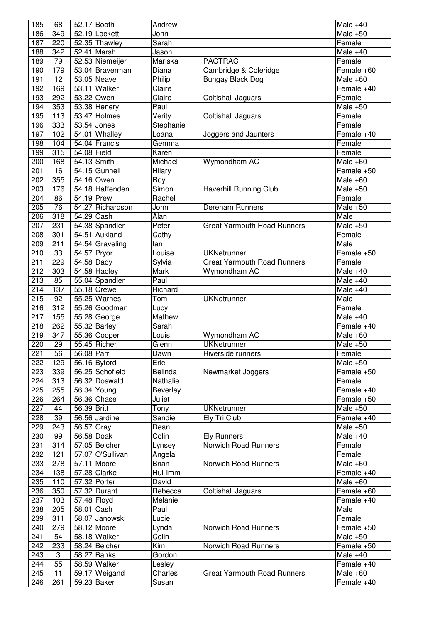| 185              | 68  |             | 52.17 Booth               | Andrew         |                                    | Male $+40$ |
|------------------|-----|-------------|---------------------------|----------------|------------------------------------|------------|
| 186              | 349 |             | 52.19 Lockett             | John           |                                    | Male $+50$ |
| 187              | 220 |             | 52.35 Thawley             | Sarah          |                                    | Female     |
| 188              | 342 |             | $52.41$ Marsh             | Jason          |                                    | Male $+40$ |
| 189              | 79  |             | 52.53 Niemeijer           | Mariska        | <b>PACTRAC</b>                     | Female     |
| 190              | 179 |             | 53.04 Braverman           | Diana          | Cambridge & Coleridge              | Female +60 |
| 191              | 12  |             | 53.05 Neave               | Philip         | <b>Bungay Black Dog</b>            | Male $+60$ |
| 192              | 169 |             | $53.11$ Walker            | Claire         |                                    | Female +40 |
| 193              | 292 |             | 53.22 Owen                | Claire         | Coltishall Jaguars                 | Female     |
| 194              | 353 |             | 53.38 Henery              | Paul           |                                    | Male $+50$ |
| 195              | 113 |             | 53.47 Holmes              | Verity         | Coltishall Jaguars                 | Female     |
| 196              | 333 |             | 53.54 Jones               | Stephanie      |                                    | Female     |
| 197              | 102 |             | 54.01 Whalley             | Loana          | Joggers and Jaunters               | Female +40 |
| 198              | 104 |             | 54.04 Francis             | Gemma          |                                    | Female     |
| 199              | 315 | 54.08 Field |                           | Karen          |                                    | Female     |
| 200              | 168 |             | 54.13 Smith               | Michael        | Wymondham AC                       | Male $+60$ |
| 201              | 16  |             | 54.15 Gunnell             | Hilary         |                                    | Female +50 |
| 202              | 355 |             | 54.16 Owen                | Roy            |                                    | Male $+60$ |
| 203              | 176 |             | 54.18 Haffenden           | Simon          | <b>Haverhill Running Club</b>      | Male $+50$ |
| 204              | 86  | 54.19 Prew  |                           | Rachel         |                                    | Female     |
| 205              | 76  |             | 54.27 Richardson          | John           | <b>Dereham Runners</b>             | Male $+50$ |
| 206              | 318 | 54.29 Cash  |                           | Alan           |                                    | Male       |
| 207              | 231 |             | 54.38 Spandler            | Peter          | <b>Great Yarmouth Road Runners</b> | Male $+50$ |
| 208              | 301 |             | 54.51 Aukland             | Cathy          |                                    | Female     |
| 209              | 211 |             | 54.54 Graveling           | lan            |                                    | Male       |
| 210              | 33  | 54.57 Pryor |                           | Louise         | <b>UKNetrunner</b>                 | Female +50 |
| 211              | 229 | 54.58 Dady  |                           |                | <b>Great Yarmouth Road Runners</b> | Female     |
| 212              | 303 |             | $\overline{54.58}$ Hadley | Sylvia<br>Mark | Wymondham AC                       | Male $+40$ |
| 213              | 85  |             | 55.04 Spandler            | Paul           |                                    | Male $+40$ |
| $\overline{2}14$ |     |             |                           |                |                                    |            |
|                  | 137 |             | 55.18 Crewe               | Richard        |                                    | Male $+40$ |
| 215              | 92  |             | 55.25 Warnes              | Tom            | <b>UKNetrunner</b>                 | Male       |
| 216              | 312 |             | 55.26 Goodman             | Lucy           |                                    | Female     |
| 217              | 155 |             | $55.28$ George            | Mathew         |                                    | Male $+40$ |
| 218              | 262 |             | $\overline{55.32}$ Barley | Sarah          |                                    | Female +40 |
| 219              | 347 |             | 55.36 Cooper              | Louis          | Wymondham AC                       | Male $+60$ |
| 220              | 29  |             | 55.45 Richer              | Glenn          | <b>UKNetrunner</b>                 | Male $+50$ |
| 221              | 56  | 56.08 Parr  |                           | Dawn           | Riverside runners                  | Female     |
| 222              | 129 |             | 56.16 Byford              | Eric           |                                    | Male $+50$ |
| 223              | 339 |             | 56.25 Schofield           | Belinda        | Newmarket Joggers                  | Female +50 |
| 224              | 313 |             | 56.32 Doswald             | Nathalie       |                                    | Female     |
| 225              | 255 |             | 56.34 Young               | Beverley       |                                    | Female +40 |
| 226              | 264 |             | 56.36 Chase               | Juliet         |                                    | Female +50 |
| 227              | 44  | 56.39 Britt |                           | Tony           | <b>UKNetrunner</b>                 | Male $+50$ |
| 228              | 39  |             | 56.56 Jardine             | Sandie         | Ely Tri Club                       | Female +40 |
| 229              | 243 | 56.57 Gray  |                           | Dean           |                                    | Male $+50$ |
| 230              | 99  | 56.58 Doak  |                           | Colin          | <b>Ely Runners</b>                 | Male $+40$ |
| 231              | 314 |             | 57.05 Belcher             | Lynsey         | <b>Norwich Road Runners</b>        | Female     |
| 232              | 121 |             | 57.07 O'Sullivan          | Angela         |                                    | Female     |
| 233              | 278 |             | 57.11 Moore               | <b>Brian</b>   | Norwich Road Runners               | Male $+60$ |
| 234              | 138 |             | 57.28 Clarke              | Hui-Imm        |                                    | Female +40 |
| 235              | 110 |             | 57.32 Porter              | David          |                                    | Male $+60$ |
| 236              | 350 |             | 57.32 Durant              | Rebecca        | <b>Coltishall Jaguars</b>          | Female +60 |
| 237              | 103 | 57.48 Floyd |                           | Melanie        |                                    | Female +40 |
| 238              | 205 | 58.01 Cash  |                           | Paul           |                                    | Male       |
| 239              | 311 |             | 58.07 Janowski            | Lucie          |                                    | Female     |
| 240              | 279 |             | 58.12 Moore               | Lynda          | Norwich Road Runners               | Female +50 |
| 241              | 54  |             | 58.18 Walker              | Colin          |                                    | Male $+50$ |
| 242              | 233 |             | 58.24 Belcher             | Kim            | Norwich Road Runners               | Female +50 |
| 243              | 3   |             | 58.27 Banks               | Gordon         |                                    | Male $+40$ |
| 244              | 55  |             | 58.59 Walker              | Lesley         |                                    | Female +40 |
| 245              | 11  |             | 59.17 Weigand             | Charles        | <b>Great Yarmouth Road Runners</b> | Male $+60$ |
| 246              | 261 |             | 59.23 Baker               | Susan          |                                    | Female +40 |
|                  |     |             |                           |                |                                    |            |